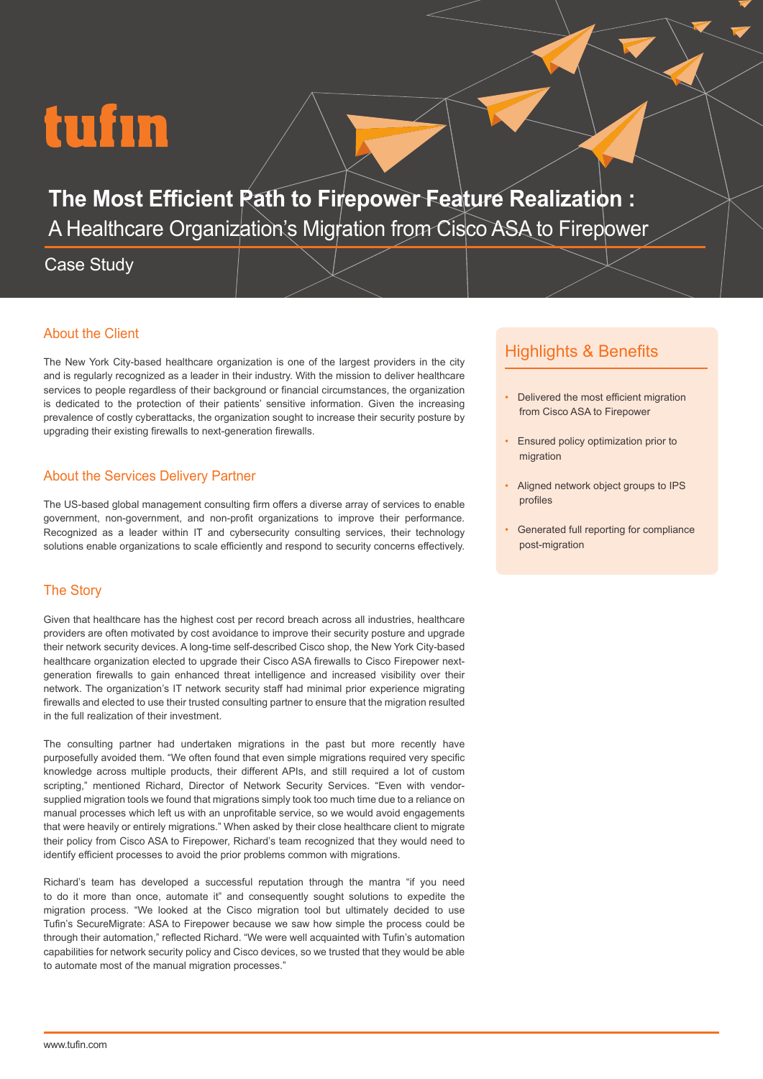# tufin

**The Most Efficient Path to Firepower Feature Realization :** A Healthcare Organization's Migration from Cisco ASA to Firepower

## Case Study

#### About the Client

The New York City-based healthcare organization is one of the largest providers in the city and is regularly recognized as a leader in their industry. With the mission to deliver healthcare services to people regardless of their background or financial circumstances, the organization is dedicated to the protection of their patients' sensitive information. Given the increasing prevalence of costly cyberattacks, the organization sought to increase their security posture by upgrading their existing firewalls to next-generation firewalls.

### About the Services Delivery Partner

The US-based global management consulting firm offers a diverse array of services to enable government, non-government, and non-profit organizations to improve their performance. Recognized as a leader within IT and cybersecurity consulting services, their technology solutions enable organizations to scale efficiently and respond to security concerns effectively.

#### The Story

Given that healthcare has the highest cost per record breach across all industries, healthcare providers are often motivated by cost avoidance to improve their security posture and upgrade their network security devices. A long-time self-described Cisco shop, the New York City-based healthcare organization elected to upgrade their Cisco ASA firewalls to Cisco Firepower nextgeneration firewalls to gain enhanced threat intelligence and increased visibility over their network. The organization's IT network security staff had minimal prior experience migrating firewalls and elected to use their trusted consulting partner to ensure that the migration resulted in the full realization of their investment.

The consulting partner had undertaken migrations in the past but more recently have purposefully avoided them. "We often found that even simple migrations required very specific knowledge across multiple products, their different APIs, and still required a lot of custom scripting," mentioned Richard, Director of Network Security Services. "Even with vendorsupplied migration tools we found that migrations simply took too much time due to a reliance on manual processes which left us with an unprofitable service, so we would avoid engagements that were heavily or entirely migrations." When asked by their close healthcare client to migrate their policy from Cisco ASA to Firepower, Richard's team recognized that they would need to identify efficient processes to avoid the prior problems common with migrations.

Richard's team has developed a successful reputation through the mantra "if you need to do it more than once, automate it" and consequently sought solutions to expedite the migration process. "We looked at the Cisco migration tool but ultimately decided to use Tufin's SecureMigrate: ASA to Firepower because we saw how simple the process could be through their automation," reflected Richard. "We were well acquainted with Tufin's automation capabilities for network security policy and Cisco devices, so we trusted that they would be able to automate most of the manual migration processes."

## Highlights & Benefits

- Delivered the most efficient migration from Cisco ASA to Firepower
- Ensured policy optimization prior to migration
- Aligned network object groups to IPS profiles
- Generated full reporting for compliance post-migration